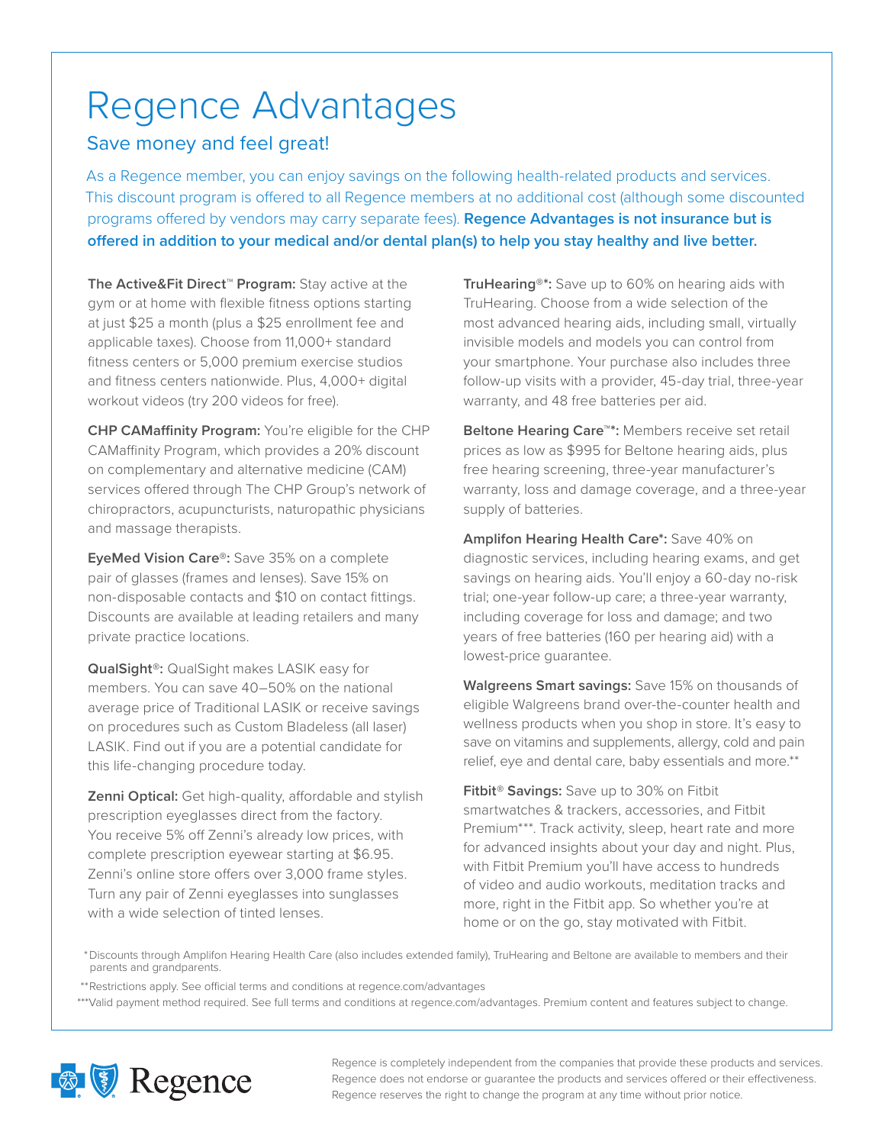## Regence Advantages

## Save money and feel great!

As a Regence member, you can enjoy savings on the following health-related products and services. This discount program is offered to all Regence members at no additional cost (although some discounted programs offered by vendors may carry separate fees). **Regence Advantages is not insurance but is offered in addition to your medical and/or dental plan(s) to help you stay healthy and live better.**

**The Active&Fit Direct™ Program:** Stay active at the gym or at home with flexible fitness options starting at just \$25 a month (plus a \$25 enrollment fee and applicable taxes). Choose from 11,000+ standard fitness centers or 5,000 premium exercise studios and fitness centers nationwide. Plus, 4,000+ digital workout videos (try 200 videos for free).

**CHP CAMaffinity Program:** You're eligible for the CHP CAMaffinity Program, which provides a 20% discount on complementary and alternative medicine (CAM) services offered through The CHP Group's network of chiropractors, acupuncturists, naturopathic physicians and massage therapists.

**EyeMed Vision Care®:** Save 35% on a complete pair of glasses (frames and lenses). Save 15% on non-disposable contacts and \$10 on contact fittings. Discounts are available at leading retailers and many private practice locations.

**QualSight®:** QualSight makes LASIK easy for members. You can save 40–50% on the national average price of Traditional LASIK or receive savings on procedures such as Custom Bladeless (all laser) LASIK. Find out if you are a potential candidate for this life-changing procedure today.

**Zenni Optical:** Get high-quality, affordable and stylish prescription eyeglasses direct from the factory. You receive 5% off Zenni's already low prices, with complete prescription eyewear starting at \$6.95. Zenni's online store offers over 3,000 frame styles. Turn any pair of Zenni eyeglasses into sunglasses with a wide selection of tinted lenses.

**TruHearing®\*:** Save up to 60% on hearing aids with TruHearing. Choose from a wide selection of the most advanced hearing aids, including small, virtually invisible models and models you can control from your smartphone. Your purchase also includes three follow-up visits with a provider, 45-day trial, three-year warranty, and 48 free batteries per aid.

**Beltone Hearing Care™\*:** Members receive set retail prices as low as \$995 for Beltone hearing aids, plus free hearing screening, three-year manufacturer's warranty, loss and damage coverage, and a three-year supply of batteries.

**Amplifon Hearing Health Care\*:** Save 40% on diagnostic services, including hearing exams, and get savings on hearing aids. You'll enjoy a 60-day no-risk trial; one-year follow-up care; a three-year warranty, including coverage for loss and damage; and two years of free batteries (160 per hearing aid) with a lowest-price guarantee.

**Walgreens Smart savings:** Save 15% on thousands of eligible Walgreens brand over-the-counter health and wellness products when you shop in store. It's easy to save on vitamins and supplements, allergy, cold and pain relief, eye and dental care, baby essentials and more.\*\*

**Fitbit® Savings:** Save up to 30% on Fitbit smartwatches & trackers, accessories, and Fitbit Premium\*\*\*. Track activity, sleep, heart rate and more for advanced insights about your day and night. Plus, with Fitbit Premium you'll have access to hundreds of video and audio workouts, meditation tracks and more, right in the Fitbit app. So whether you're at home or on the go, stay motivated with Fitbit.

\* Discounts through Amplifon Hearing Health Care (also includes extended family), TruHearing and Beltone are available to members and their parents and grandparents.

\*\*Restrictions apply. See official terms and conditions at regence.com/advantages

<sup>\*\*\*</sup>Valid payment method required. See full terms and conditions at regence.com/advantages. Premium content and features subject to change.



Regence is completely independent from the companies that provide these products and services. Regence does not endorse or guarantee the products and services offered or their effectiveness. Regence reserves the right to change the program at any time without prior notice.